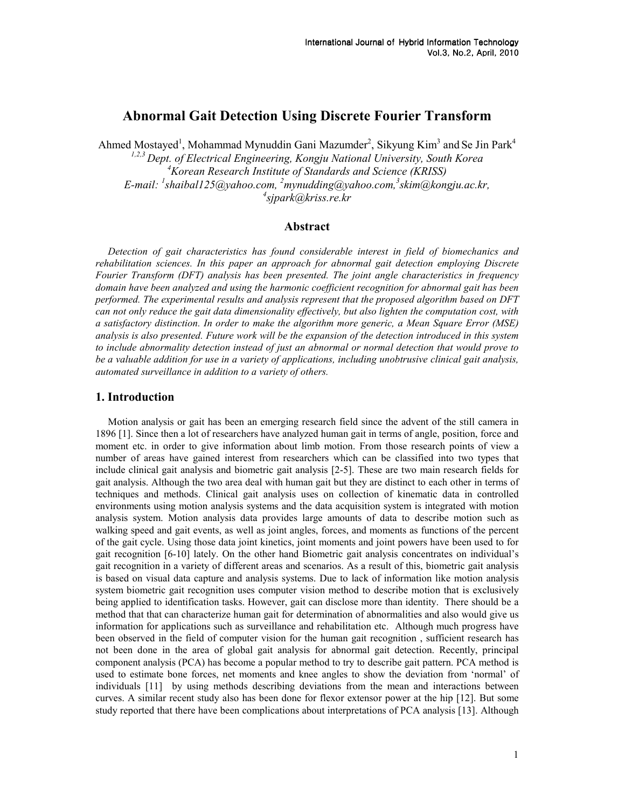# Abnormal Gait Detection Using Discrete Fourier Transform

Ahmed Mostayed<sup>1</sup>, Mohammad Mynuddin Gani Mazumder<sup>2</sup>, Sikyung Kim<sup>3</sup> and Se Jin Park<sup>4</sup>  $1,2,3$  Dept. of Electrical Engineering, Kongju National University, South Korea  $4$ Korean Research Institute of Standards and Science (KRISS) E-mail:  $^l$ shaibal125@yahoo.com,  $^2$ mynudding@yahoo.com, $^3$ skim@kongju.ac.kr, 4 sjpark@kriss.re.kr

## Abstract

Detection of gait characteristics has found considerable interest in field of biomechanics and rehabilitation sciences. In this paper an approach for abnormal gait detection employing Discrete Fourier Transform (DFT) analysis has been presented. The joint angle characteristics in frequency domain have been analyzed and using the harmonic coefficient recognition for abnormal gait has been performed. The experimental results and analysis represent that the proposed algorithm based on DFT can not only reduce the gait data dimensionality effectively, but also lighten the computation cost, with a satisfactory distinction. In order to make the algorithm more generic, a Mean Square Error (MSE) analysis is also presented. Future work will be the expansion of the detection introduced in this system to include abnormality detection instead of just an abnormal or normal detection that would prove to be a valuable addition for use in a variety of applications, including unobtrusive clinical gait analysis, automated surveillance in addition to a variety of others.

#### 1. Introduction

Motion analysis or gait has been an emerging research field since the advent of the still camera in 1896 [1]. Since then a lot of researchers have analyzed human gait in terms of angle, position, force and moment etc. in order to give information about limb motion. From those research points of view a number of areas have gained interest from researchers which can be classified into two types that include clinical gait analysis and biometric gait analysis [2-5]. These are two main research fields for gait analysis. Although the two area deal with human gait but they are distinct to each other in terms of techniques and methods. Clinical gait analysis uses on collection of kinematic data in controlled environments using motion analysis systems and the data acquisition system is integrated with motion analysis system. Motion analysis data provides large amounts of data to describe motion such as walking speed and gait events, as well as joint angles, forces, and moments as functions of the percent of the gait cycle. Using those data joint kinetics, joint moments and joint powers have been used to for gait recognition [6-10] lately. On the other hand Biometric gait analysis concentrates on individual's gait recognition in a variety of different areas and scenarios. As a result of this, biometric gait analysis is based on visual data capture and analysis systems. Due to lack of information like motion analysis system biometric gait recognition uses computer vision method to describe motion that is exclusively being applied to identification tasks. However, gait can disclose more than identity. There should be a method that that can characterize human gait for determination of abnormalities and also would give us information for applications such as surveillance and rehabilitation etc. Although much progress have been observed in the field of computer vision for the human gait recognition , sufficient research has not been done in the area of global gait analysis for abnormal gait detection. Recently, principal component analysis (PCA) has become a popular method to try to describe gait pattern. PCA method is used to estimate bone forces, net moments and knee angles to show the deviation from 'normal' of individuals [11] by using methods describing deviations from the mean and interactions between curves. A similar recent study also has been done for flexor extensor power at the hip [12]. But some study reported that there have been complications about interpretations of PCA analysis [13]. Although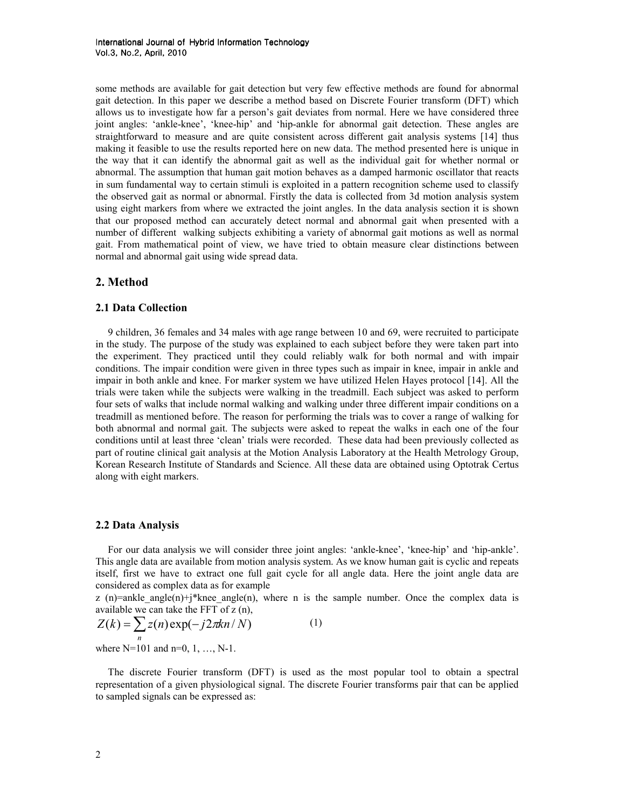some methods are available for gait detection but very few effective methods are found for abnormal gait detection. In this paper we describe a method based on Discrete Fourier transform (DFT) which allows us to investigate how far a person's gait deviates from normal. Here we have considered three joint angles: 'ankle-knee', 'knee-hip' and 'hip-ankle for abnormal gait detection. These angles are straightforward to measure and are quite consistent across different gait analysis systems [14] thus making it feasible to use the results reported here on new data. The method presented here is unique in the way that it can identify the abnormal gait as well as the individual gait for whether normal or abnormal. The assumption that human gait motion behaves as a damped harmonic oscillator that reacts in sum fundamental way to certain stimuli is exploited in a pattern recognition scheme used to classify the observed gait as normal or abnormal. Firstly the data is collected from 3d motion analysis system using eight markers from where we extracted the joint angles. In the data analysis section it is shown that our proposed method can accurately detect normal and abnormal gait when presented with a number of different walking subjects exhibiting a variety of abnormal gait motions as well as normal gait. From mathematical point of view, we have tried to obtain measure clear distinctions between normal and abnormal gait using wide spread data.

## 2. Method

#### 2.1 Data Collection

9 children, 36 females and 34 males with age range between 10 and 69, were recruited to participate in the study. The purpose of the study was explained to each subject before they were taken part into the experiment. They practiced until they could reliably walk for both normal and with impair conditions. The impair condition were given in three types such as impair in knee, impair in ankle and impair in both ankle and knee. For marker system we have utilized Helen Hayes protocol [14]. All the trials were taken while the subjects were walking in the treadmill. Each subject was asked to perform four sets of walks that include normal walking and walking under three different impair conditions on a treadmill as mentioned before. The reason for performing the trials was to cover a range of walking for both abnormal and normal gait. The subjects were asked to repeat the walks in each one of the four conditions until at least three 'clean' trials were recorded. These data had been previously collected as part of routine clinical gait analysis at the Motion Analysis Laboratory at the Health Metrology Group, Korean Research Institute of Standards and Science. All these data are obtained using Optotrak Certus along with eight markers.

#### 2.2 Data Analysis

For our data analysis we will consider three joint angles: 'ankle-knee', 'knee-hip' and 'hip-ankle'. This angle data are available from motion analysis system. As we know human gait is cyclic and repeats itself, first we have to extract one full gait cycle for all angle data. Here the joint angle data are considered as complex data as for example

 $z$  (n)=ankle\_angle(n)+j\*knee\_angle(n), where n is the sample number. Once the complex data is available we can take the FFT of z (n),

$$
Z(k) = \sum_{n} z(n) \exp(-j2\pi kn/N)
$$
 (1)

where N=101 and n=0, 1, …, N-1.

The discrete Fourier transform (DFT) is used as the most popular tool to obtain a spectral representation of a given physiological signal. The discrete Fourier transforms pair that can be applied to sampled signals can be expressed as: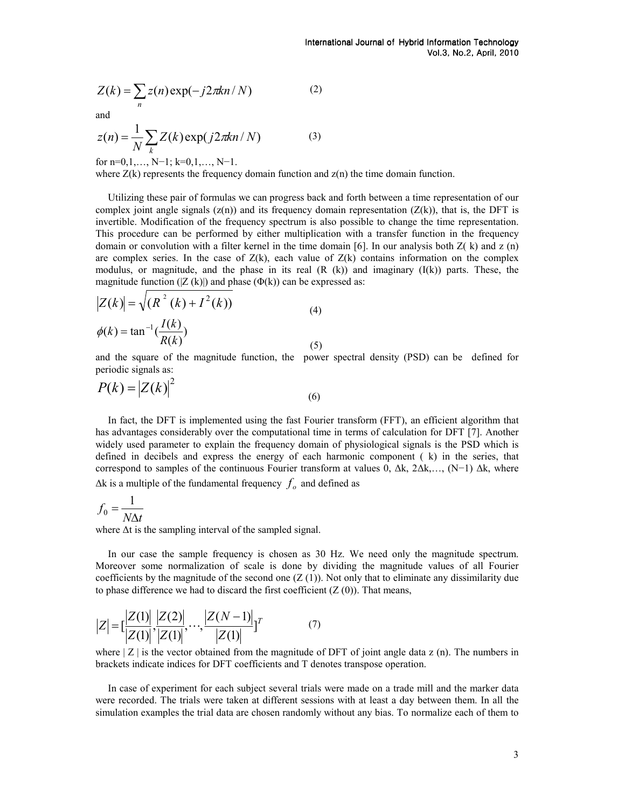$$
Z(k) = \sum_{n} z(n) \exp(-j2\pi kn/N)
$$
 (2)

and

$$
z(n) = \frac{1}{N} \sum_{k} Z(k) \exp(j2\pi kn/N)
$$
 (3)

for n=0,1,…, N−1; k=0,1,…, N−1.

 $\sqrt{ }$ 

where  $Z(k)$  represents the frequency domain function and  $z(n)$  the time domain function.

Utilizing these pair of formulas we can progress back and forth between a time representation of our complex joint angle signals  $(z(n))$  and its frequency domain representation  $(Z(k))$ , that is, the DFT is invertible. Modification of the frequency spectrum is also possible to change the time representation. This procedure can be performed by either multiplication with a transfer function in the frequency domain or convolution with a filter kernel in the time domain [6]. In our analysis both  $Z(\mathbf{k})$  and  $z(\mathbf{n})$ are complex series. In the case of  $Z(k)$ , each value of  $Z(k)$  contains information on the complex modulus, or magnitude, and the phase in its real  $(R (k))$  and imaginary  $(I(k))$  parts. These, the magnitude function  $(|Z (k)|)$  and phase  $(\Phi(k))$  can be expressed as:

$$
|Z(k)| = \sqrt{(R^2 (k) + I^2 (k))}
$$
  
\n
$$
\phi(k) = \tan^{-1}(\frac{I(k)}{R(k)})
$$
\n(4)

and the square of the magnitude function, the power spectral density (PSD) can be defined for periodic signals as:

$$
P(k) = |Z(k)|^2
$$
\n(6)

In fact, the DFT is implemented using the fast Fourier transform (FFT), an efficient algorithm that has advantages considerably over the computational time in terms of calculation for DFT [7]. Another widely used parameter to explain the frequency domain of physiological signals is the PSD which is defined in decibels and express the energy of each harmonic component ( k) in the series, that correspond to samples of the continuous Fourier transform at values 0,  $\Delta k$ ,  $2\Delta k$ ,…, (N−1)  $\Delta k$ , where  $\Delta k$  is a multiple of the fundamental frequency  $f_o$  and defined as

$$
f_0 = \frac{1}{N\Delta t}
$$

where ∆t is the sampling interval of the sampled signal.

In our case the sample frequency is chosen as 30 Hz. We need only the magnitude spectrum. Moreover some normalization of scale is done by dividing the magnitude values of all Fourier coefficients by the magnitude of the second one  $(Z(1))$ . Not only that to eliminate any dissimilarity due to phase difference we had to discard the first coefficient  $(Z(0))$ . That means,

$$
|Z| = \left[\frac{|Z(1)|}{|Z(1)|}, \frac{|Z(2)|}{|Z(1)|}, \dots, \frac{|Z(N-1)|}{|Z(1)|}\right]^{T}
$$
(7)

where  $|Z|$  is the vector obtained from the magnitude of DFT of joint angle data z (n). The numbers in brackets indicate indices for DFT coefficients and T denotes transpose operation.

In case of experiment for each subject several trials were made on a trade mill and the marker data were recorded. The trials were taken at different sessions with at least a day between them. In all the simulation examples the trial data are chosen randomly without any bias. To normalize each of them to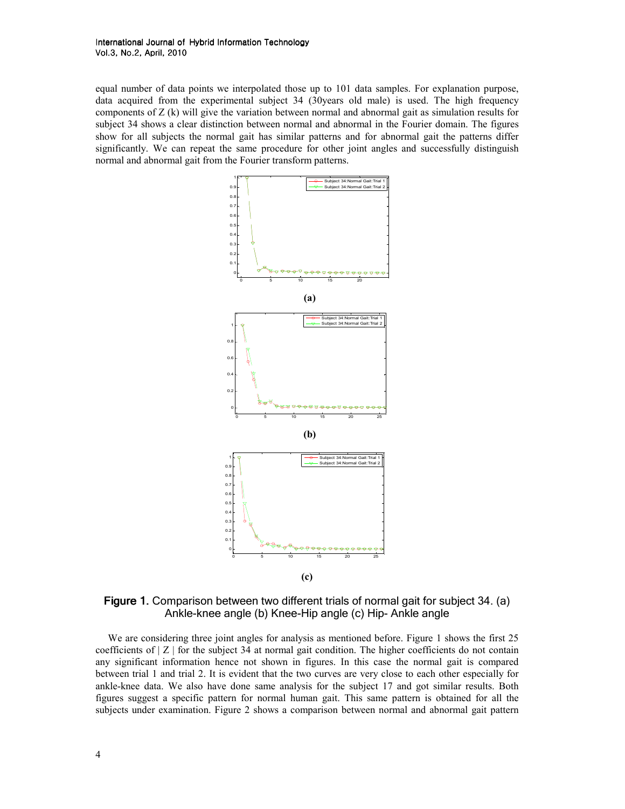equal number of data points we interpolated those up to 101 data samples. For explanation purpose, data acquired from the experimental subject 34 (30years old male) is used. The high frequency components of Z (k) will give the variation between normal and abnormal gait as simulation results for subject 34 shows a clear distinction between normal and abnormal in the Fourier domain. The figures show for all subjects the normal gait has similar patterns and for abnormal gait the patterns differ significantly. We can repeat the same procedure for other joint angles and successfully distinguish normal and abnormal gait from the Fourier transform patterns.



Figure 1. Comparison between two different trials of normal gait for subject 34. (a) Ankle-knee angle (b) Knee-Hip angle (c) Hip- Ankle angle

We are considering three joint angles for analysis as mentioned before. Figure 1 shows the first 25 coefficients of  $|Z|$  for the subject 34 at normal gait condition. The higher coefficients do not contain any significant information hence not shown in figures. In this case the normal gait is compared between trial 1 and trial 2. It is evident that the two curves are very close to each other especially for ankle-knee data. We also have done same analysis for the subject 17 and got similar results. Both figures suggest a specific pattern for normal human gait. This same pattern is obtained for all the subjects under examination. Figure 2 shows a comparison between normal and abnormal gait pattern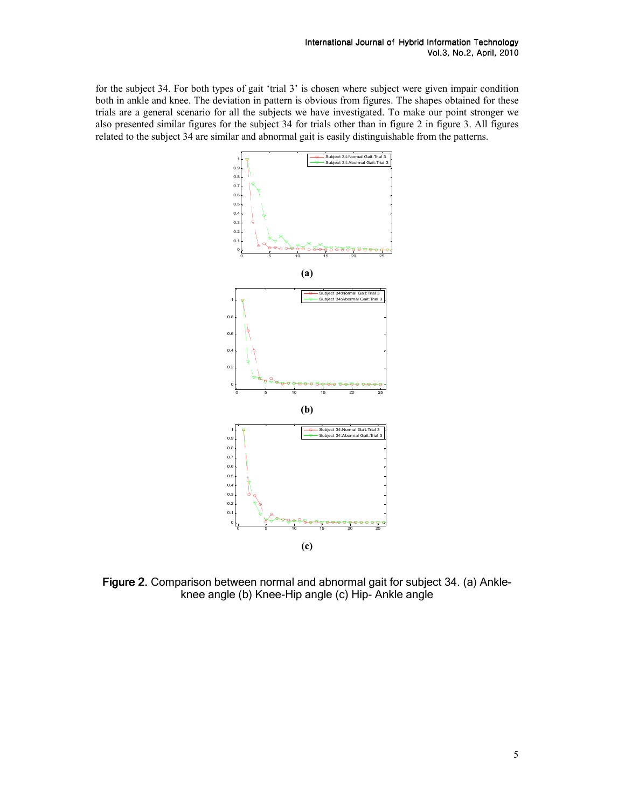for the subject 34. For both types of gait 'trial 3' is chosen where subject were given impair condition both in ankle and knee. The deviation in pattern is obvious from figures. The shapes obtained for these trials are a general scenario for all the subjects we have investigated. To make our point stronger we also presented similar figures for the subject 34 for trials other than in figure 2 in figure 3. All figures related to the subject 34 are similar and abnormal gait is easily distinguishable from the patterns.



Figure 2. Comparison between normal and abnormal gait for subject 34. (a) Ankleknee angle (b) Knee-Hip angle (c) Hip- Ankle angle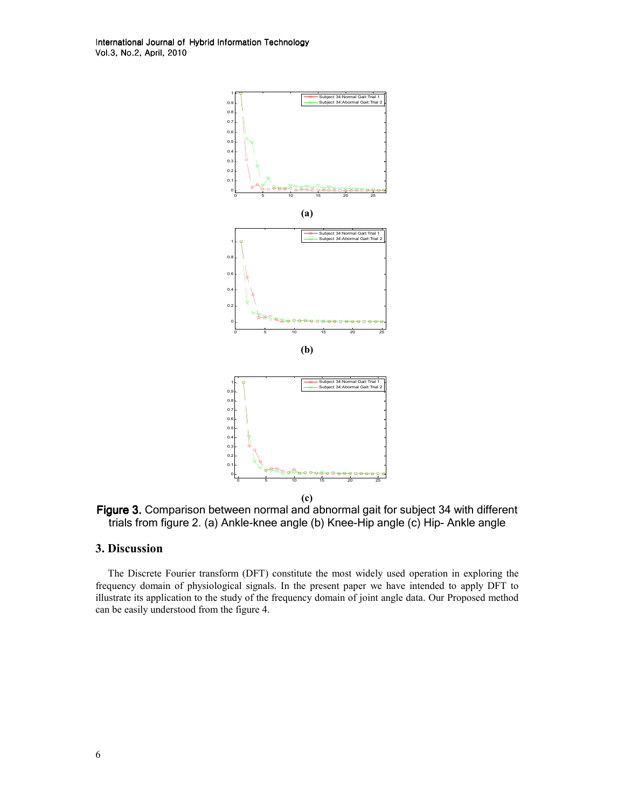International Journal of Hybrid Information Technology Vol.3, No.2, April, 2010



Figure 3. Comparison between normal and abnormal gait for subject 34 with different trials from figure 2. (a) Ankle-knee angle (b) Knee-Hip angle (c) Hip- Ankle angle

#### 3. Discussion

The Discrete Fourier transform (DFT) constitute the most widely used operation in exploring the frequency domain of physiological signals. In the present paper we have intended to apply DFT to illustrate its application to the study of the frequency domain of joint angle data. Our Proposed method can be easily understood from the figure 4.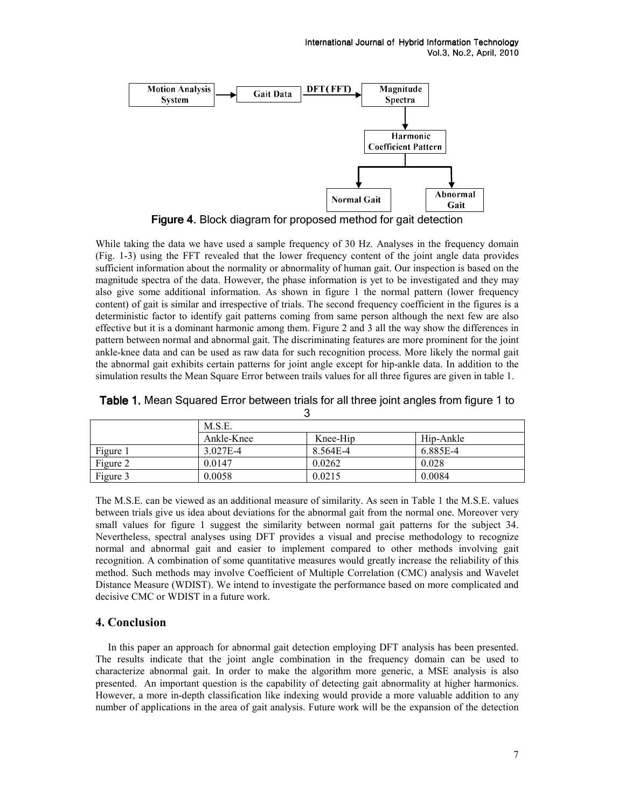

Figure 4. Block diagram for proposed method for gait detection

While taking the data we have used a sample frequency of 30 Hz. Analyses in the frequency domain (Fig. 1-3) using the FFT revealed that the lower frequency content of the joint angle data provides sufficient information about the normality or abnormality of human gait. Our inspection is based on the magnitude spectra of the data. However, the phase information is yet to be investigated and they may also give some additional information. As shown in figure 1 the normal pattern (lower frequency content) of gait is similar and irrespective of trials. The second frequency coefficient in the figures is a deterministic factor to identify gait patterns coming from same person although the next few are also effective but it is a dominant harmonic among them. Figure 2 and 3 all the way show the differences in pattern between normal and abnormal gait. The discriminating features are more prominent for the joint ankle-knee data and can be used as raw data for such recognition process. More likely the normal gait the abnormal gait exhibits certain patterns for joint angle except for hip-ankle data. In addition to the simulation results the Mean Square Error between trails values for all three figures are given in table 1.

| ີ        |            |          |           |
|----------|------------|----------|-----------|
|          | M.S.E.     |          |           |
|          | Ankle-Knee | Knee-Hip | Hip-Ankle |
| Figure 1 | 3.027E-4   | 8.564E-4 | 6.885E-4  |
| Figure 2 | 0.0147     | 0.0262   | 0.028     |
| Figure 3 | 0.0058     | 0.0215   | 0.0084    |

Table 1. Mean Squared Error between trials for all three joint angles from figure 1 to 5

The M.S.E. can be viewed as an additional measure of similarity. As seen in Table 1 the M.S.E. values between trials give us idea about deviations for the abnormal gait from the normal one. Moreover very small values for figure 1 suggest the similarity between normal gait patterns for the subject 34. Nevertheless, spectral analyses using DFT provides a visual and precise methodology to recognize normal and abnormal gait and easier to implement compared to other methods involving gait recognition. A combination of some quantitative measures would greatly increase the reliability of this method. Such methods may involve Coefficient of Multiple Correlation (CMC) analysis and Wavelet Distance Measure (WDIST). We intend to investigate the performance based on more complicated and decisive CMC or WDIST in a future work.

## 4. Conclusion

In this paper an approach for abnormal gait detection employing DFT analysis has been presented. The results indicate that the joint angle combination in the frequency domain can be used to characterize abnormal gait. In order to make the algorithm more generic, a MSE analysis is also presented. An important question is the capability of detecting gait abnormality at higher harmonics. However, a more in-depth classification like indexing would provide a more valuable addition to any number of applications in the area of gait analysis. Future work will be the expansion of the detection